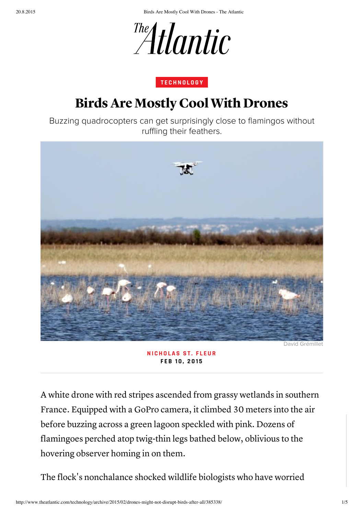20.8.2015 Birds Are Mostly Cool With Drones - The Atlantic



## T E C H N O L O G Y

## Birds Are Mostly Cool With Drones

Buzzing quadrocopters can get surprisingly close to flamingos without ruffling their feathers.



NICHOLAS ST. FLEUR FEB 10, 2015

A white drone with red stripes ascended from grassy wetlands in southern France. Equipped with a GoPro camera, it climbed 30 meters into the air before buzzing across a green lagoon speckled with pink. Dozens of flamingoes perched atop twig-thin legs bathed below, oblivious to the hovering observer homing in on them.

The flock's nonchalance shocked wildlife biologists who have worried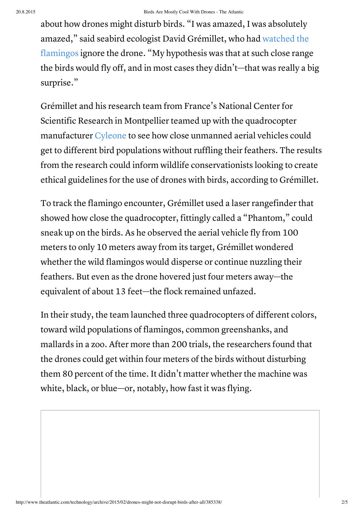about how drones might disturb birds. "I was amazed, I was absolutely amazed," said seabird ecologist David Grémillet, who had watched the flamingos ignore the drone. "My hypothesis was that at such close range the birds would fly off, and in most cases they didn't—that was really a big surprise."

Grémillet and his research team from France's National Center for Scientific Research in Montpellier teamed up with the quadrocopter manufacturer Cyleone to see how close unmanned aerial vehicles could get to different bird populations without ruffling their feathers. The results from the research could inform wildlife conservationists looking to create ethical guidelines for the use of drones with birds, according to Grémillet.

To track the flamingo encounter, Grémillet used a laser rangefinder that showed how close the quadrocopter, fittingly called a "Phantom, " could sneak up on the birds. As he observed the aerial vehicle fly from 100 meters to only 10 meters away from its target, Grémillet wondered whether the wild flamingos would disperse or continue nuzzling their feathers. But even as the drone hovered just four meters away—the equivalent of about 13 feet—the flock remained unfazed.

In their study, the team launched three quadrocopters of different colors, toward wild populations of flamingos, common greenshanks, and mallards in a zoo. After more than 200 trials, the researchers found that the drones could get within four meters of the birds without disturbing them 80 percent of the time. It didn't matter whether the machine was white, black, or blue—or, notably, how fast it was flying.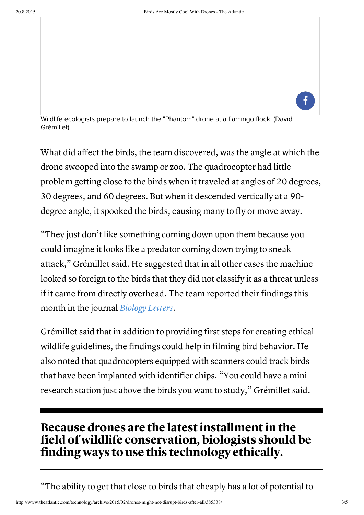

Wildlife ecologists prepare to launch the "Phantom" drone at a flamingo flock. (David Grémillet)

What did affect the birds, the team discovered, was the angle at which the drone swooped into the swamp or zoo. The quadrocopter had little problem getting close to the birds when it traveled at angles of 20 degrees, 30 degrees, and 60 degrees. But when it descended vertically at a 90 degree angle, it spooked the birds, causing many to fly or move away.

"They just don't like something coming down upon them because you could imagine it looks like a predator coming down trying to sneak attack, " Grémillet said. He suggested that in all other cases the machine looked so foreign to the birds that they did not classify it as a threat unless if it came from directly overhead. The team reported their findings this month in the journal *Biology Letters*.

Grémillet said that in addition to providing first steps for creating ethical wildlife guidelines, the findings could help in filming bird behavior. He also noted that quadrocopters equipped with scanners could track birds that have been implanted with identifier chips. "You could have a mini research station just above the birds you want to study, " Grémillet said.

## Because drones are the latest installment in the field of wildlife conservation, biologists should be finding ways to use this technology ethically.

"The ability to get that close to birds that cheaply has a lot of potential to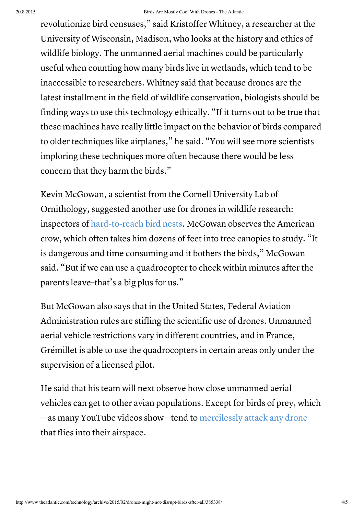revolutionize bird censuses, " said Kristoffer Whitney, a researcher at the University of Wisconsin, Madison, who looks at the history and ethics of wildlife biology. The unmanned aerial machines could be particularly useful when counting how many birds live in wetlands, which tend to be inaccessible to researchers. Whitney said that because drones are the latest installment in the field of wildlife conservation, biologists should be finding ways to use this technology ethically. "If it turns out to be true that these machines have really little impact on the behavior of birds compared to older techniques like airplanes, " he said. "You will see more scientists imploring these techniques more often because there would be less concern that they harm the birds."

Kevin McGowan, a scientist from the Cornell University Lab of Ornithology, suggested another use for drones in wildlife research: inspectors of hard-to-reach bird nests. McGowan observes the American crow, which often takes him dozens of feet into tree canopies to study. "It is dangerous and time consuming and it bothers the birds, " McGowan said. "But if we can use a quadrocopter to check within minutes after the parents leave–that's a big plus for us."

But McGowan also says that in the United States, Federal Aviation Administration rules are stifling the scientific use of drones. Unmanned aerial vehicle restrictions vary in different countries, and in France, Grémillet is able to use the quadrocopters in certain areas only under the supervision of a licensed pilot.

He said that his team will next observe how close unmanned aerial vehicles can get to other avian populations. Except for birds of prey, which —as many YouTube videos show—tend to mercilessly attack any drone that flies into their airspace.